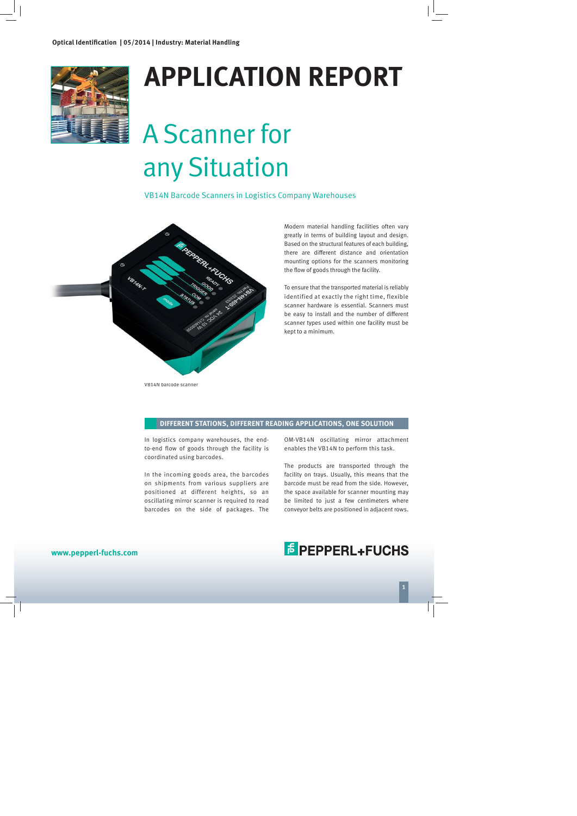

## **APPLICATION REPORT**

# A Scanner for any Situation

VB14N Barcode Scanners in Logistics Company Warehouses



VB14N barcode scanner

Modern material handling facilities often vary greatly in terms of building layout and design. Based on the structural features of each building, there are different distance and orientation mounting options for the scanners monitoring the flow of goods through the facility.

To ensure that the transported material is reliably identified at exactly the right time, flexible scanner hardware is essential. Scanners must be easy to install and the number of different scanner types used within one facility must be kept to a minimum.

#### **DIFFERENT STATIONS, DIFFERENT READING APPLICATIONS, ONE SOLUTION**

In logistics company warehouses, the endto-end flow of goods through the facility is coordinated using barcodes.

In the incoming goods area, the barcodes on shipments from various suppliers are positioned at different heights, so an oscillating mirror scanner is required to read barcodes on the side of packages. The

OM-VB14N oscillating mirror attachment enables the VB14N to perform this task.

The products are transported through the facility on trays. Usually, this means that the barcode must be read from the side. However, the space available for scanner mounting may be limited to just a few centimeters where conveyor belts are positioned in adjacent rows.